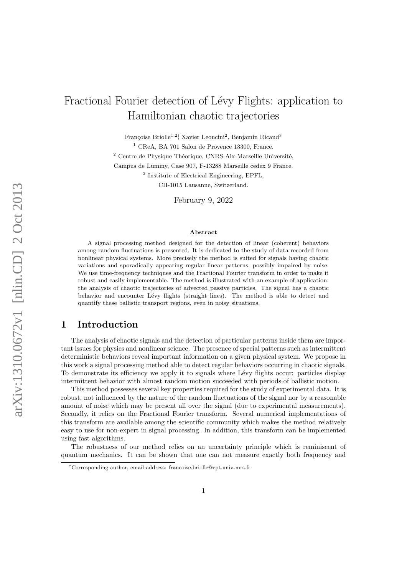# Fractional Fourier detection of Lévy Flights: application to Hamiltonian chaotic trajectories

Françoise Briolle<sup>1,2</sup><sup>†</sup>, Xavier Leoncini<sup>2</sup>, Benjamin Ricaud<sup>3</sup>

 $1$  CReA, BA 701 Salon de Provence 13300, France.

 $2$  Centre de Physique Théorique, CNRS-Aix-Marseille Université,

Campus de Luminy, Case 907, F-13288 Marseille cedex 9 France.

3 Institute of Electrical Engineering, EPFL,

CH-1015 Lausanne, Switzerland.

February 9, 2022

#### Abstract

A signal processing method designed for the detection of linear (coherent) behaviors among random fluctuations is presented. It is dedicated to the study of data recorded from nonlinear physical systems. More precisely the method is suited for signals having chaotic variations and sporadically appearing regular linear patterns, possibly impaired by noise. We use time-frequency techniques and the Fractional Fourier transform in order to make it robust and easily implementable. The method is illustrated with an example of application: the analysis of chaotic trajectories of advected passive particles. The signal has a chaotic behavior and encounter Lévy flights (straight lines). The method is able to detect and quantify these ballistic transport regions, even in noisy situations.

# 1 Introduction

The analysis of chaotic signals and the detection of particular patterns inside them are important issues for physics and nonlinear science. The presence of special patterns such as intermittent deterministic behaviors reveal important information on a given physical system. We propose in this work a signal processing method able to detect regular behaviors occurring in chaotic signals. To demonstrate its efficiency we apply it to signals where Lévy flights occur: particles display intermittent behavior with almost random motion succeeded with periods of ballistic motion.

This method possesses several key properties required for the study of experimental data. It is robust, not influenced by the nature of the random fluctuations of the signal nor by a reasonable amount of noise which may be present all over the signal (due to experimental measurements). Secondly, it relies on the Fractional Fourier transform. Several numerical implementations of this transform are available among the scientific community which makes the method relatively easy to use for non-expert in signal processing. In addition, this transform can be implemented using fast algorithms.

The robustness of our method relies on an uncertainty principle which is reminiscent of quantum mechanics. It can be shown that one can not measure exactly both frequency and

<sup>†</sup>Corresponding author, email address: francoise.briolle@cpt.univ-mrs.fr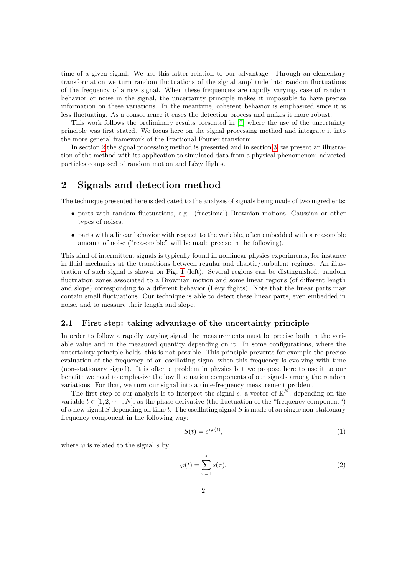time of a given signal. We use this latter relation to our advantage. Through an elementary transformation we turn random fluctuations of the signal amplitude into random fluctuations of the frequency of a new signal. When these frequencies are rapidly varying, case of random behavior or noise in the signal, the uncertainty principle makes it impossible to have precise information on these variations. In the meantime, coherent behavior is emphasized since it is less fluctuating. As a consequence it eases the detection process and makes it more robust.

This work follows the preliminary results presented in [\[7\]](#page-11-0) where the use of the uncertainty principle was first stated. We focus here on the signal processing method and integrate it into the more general framework of the Fractional Fourier transform.

In section [2](#page-1-0) the signal processing method is presented and in section [3,](#page-5-0) we present an illustration of the method with its application to simulated data from a physical phenomenon: advected particles composed of random motion and Lévy flights.

# <span id="page-1-0"></span>2 Signals and detection method

The technique presented here is dedicated to the analysis of signals being made of two ingredients:

- parts with random fluctuations, e.g. (fractional) Brownian motions, Gaussian or other types of noises.
- parts with a linear behavior with respect to the variable, often embedded with a reasonable amount of noise ("reasonable" will be made precise in the following).

This kind of intermittent signals is typically found in nonlinear physics experiments, for instance in fluid mechanics at the transitions between regular and chaotic/turbulent regimes. An illustration of such signal is shown on Fig. [1](#page-2-0) (left). Several regions can be distinguished: random fluctuation zones associated to a Brownian motion and some linear regions (of different length and slope) corresponding to a different behavior (Lévy flights). Note that the linear parts may contain small fluctuations. Our technique is able to detect these linear parts, even embedded in noise, and to measure their length and slope.

#### 2.1 First step: taking advantage of the uncertainty principle

In order to follow a rapidly varying signal the measurements must be precise both in the variable value and in the measured quantity depending on it. In some configurations, where the uncertainty principle holds, this is not possible. This principle prevents for example the precise evaluation of the frequency of an oscillating signal when this frequency is evolving with time (non-stationary signal). It is often a problem in physics but we propose here to use it to our benefit: we need to emphasize the low fluctuation components of our signals among the random variations. For that, we turn our signal into a time-frequency measurement problem.

The first step of our analysis is to interpret the signal s, a vector of  $\mathbb{R}^N$ , depending on the variable  $t \in [1, 2, \dots, N]$ , as the phase derivative (the fluctuation of the "frequency component") of a new signal  $S$  depending on time  $t$ . The oscillating signal  $S$  is made of an single non-stationary frequency component in the following way:

$$
S(t) = e^{i\varphi(t)},\tag{1}
$$

where  $\varphi$  is related to the signal s by:

$$
\varphi(t) = \sum_{\tau=1}^{t} s(\tau). \tag{2}
$$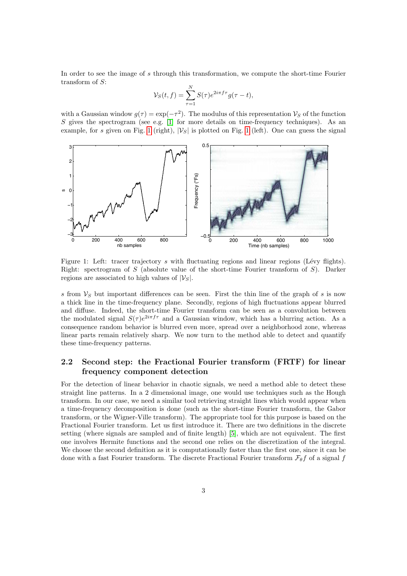In order to see the image of s through this transformation, we compute the short-time Fourier transform of S:

$$
\mathcal{V}_S(t,f) = \sum_{\tau=1}^N S(\tau) e^{2i\pi f \tau} g(\tau - t),
$$

with a Gaussian window  $g(\tau) = \exp(-\tau^2)$ . The modulus of this representation  $\mathcal{V}_S$  of the function S gives the spectrogram (see e.g.  $[1]$  for more details on time-frequency techniques). As an example, for s given on Fig. [1](#page-2-0) (right),  $|\mathcal{V}_S|$  is plotted on Fig. 1 (left). One can guess the signal



<span id="page-2-0"></span>Figure 1: Left: tracer trajectory  $s$  with fluctuating regions and linear regions (Lévy flights). Right: spectrogram of  $S$  (absolute value of the short-time Fourier transform of  $S$ ). Darker regions are associated to high values of  $|\mathcal{V}_S|$ .

s from  $V<sub>S</sub>$  but important differences can be seen. First the thin line of the graph of s is now a thick line in the time-frequency plane. Secondly, regions of high fluctuations appear blurred and diffuse. Indeed, the short-time Fourier transform can be seen as a convolution between the modulated signal  $S(\tau)e^{2i\pi f\tau}$  and a Gaussian window, which has a blurring action. As a consequence random behavior is blurred even more, spread over a neighborhood zone, whereas linear parts remain relatively sharp. We now turn to the method able to detect and quantify these time-frequency patterns.

## 2.2 Second step: the Fractional Fourier transform (FRTF) for linear frequency component detection

For the detection of linear behavior in chaotic signals, we need a method able to detect these straight line patterns. In a 2 dimensional image, one would use techniques such as the Hough transform. In our case, we need a similar tool retrieving straight lines which would appear when a time-frequency decomposition is done (such as the short-time Fourier transform, the Gabor transform, or the Wigner-Ville transform). The appropriate tool for this purpose is based on the Fractional Fourier transform. Let us first introduce it. There are two definitions in the discrete setting (where signals are sampled and of finite length) [\[5\]](#page-10-1), which are not equivalent. The first one involves Hermite functions and the second one relies on the discretization of the integral. We choose the second definition as it is computationally faster than the first one, since it can be done with a fast Fourier transform. The discrete Fractional Fourier transform  $\mathcal{F}_{\theta}f$  of a signal f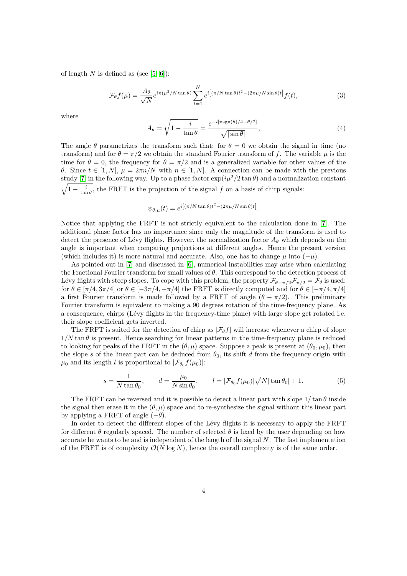of length N is defined as (see  $[5, 6]$  $[5, 6]$ ):

<span id="page-3-1"></span>
$$
\mathcal{F}_{\theta}f(\mu) = \frac{A_{\theta}}{\sqrt{N}}e^{i\pi(\mu^2/N\tan\theta)}\sum_{t=1}^{N}e^{i\left[(\pi/N\tan\theta)t^2 - (2\pi\mu/N\sin\theta)t\right]}f(t),\tag{3}
$$

where

$$
A_{\theta} = \sqrt{1 - \frac{i}{\tan \theta}} = \frac{e^{-i[\pi \text{sgn}(\theta)/4 - \theta/2]}}{\sqrt{|\sin \theta|}},
$$
(4)

The angle  $\theta$  parametrizes the transform such that: for  $\theta = 0$  we obtain the signal in time (no transform) and for  $\theta = \pi/2$  we obtain the standard Fourier transform of f. The variable  $\mu$  is the time for  $\theta = 0$ , the frequency for  $\theta = \pi/2$  and is a generalized variable for other values of the θ. Since  $t \in [1, N]$ ,  $μ = 2πn/N$  with  $n \in [1, N]$ . A connection can be made with the previous study [\[7\]](#page-11-0) in the following way. Up to a phase factor  $\exp(i\mu^2/2\tan\theta)$  and a normalization constant  $\sqrt{1-\frac{i}{\tan\theta}}$ , the FRFT is the projection of the signal f on a basis of chirp signals:

$$
\psi_{\theta,\mu}(t) = e^{i\left[(\pi/N \tan \theta)t^2 - (2\pi\mu/N \sin \theta)t\right]}.
$$

Notice that applying the FRFT is not strictly equivalent to the calculation done in [\[7\]](#page-11-0). The additional phase factor has no importance since only the magnitude of the transform is used to detect the presence of Lévy flights. However, the normalization factor  $A_{\theta}$  which depends on the angle is important when comparing projections at different angles. Hence the present version (which includes it) is more natural and accurate. Also, one has to change  $\mu$  into  $(-\mu)$ .

As pointed out in [\[7\]](#page-11-0) and discussed in [\[6\]](#page-10-2), numerical instabilities may arise when calculating the Fractional Fourier transform for small values of  $\theta$ . This correspond to the detection process of Lévy flights with steep slopes. To cope with this problem, the property  $\mathcal{F}_{\theta-\pi/2}\mathcal{F}_{\pi/2} = \mathcal{F}_{\theta}$  is used: for  $\theta \in [\pi/4, 3\pi/4]$  or  $\theta \in [-3\pi/4, -\pi/4]$  the FRFT is directly computed and for  $\theta \in [-\pi/4, \pi/4]$ a first Fourier transform is made followed by a FRFT of angle  $(\theta - \pi/2)$ . This preliminary Fourier transform is equivalent to making a 90 degrees rotation of the time-frequency plane. As a consequence, chirps (Lévy flights in the frequency-time plane) with large slope get rotated i.e. their slope coefficient gets inverted.

The FRFT is suited for the detection of chirp as  $|\mathcal{F}_{\theta}f|$  will increase whenever a chirp of slope  $1/N \tan \theta$  is present. Hence searching for linear patterns in the time-frequency plane is reduced to looking for peaks of the FRFT in the  $(\theta, \mu)$  space. Suppose a peak is present at  $(\theta_0, \mu_0)$ , then the slope s of the linear part can be deduced from  $\theta_0$ , its shift d from the frequency origin with  $\mu_0$  and its length l is proportional to  $|\mathcal{F}_{\theta_0} f(\mu_0)|$ :

<span id="page-3-0"></span>
$$
s = \frac{1}{N \tan \theta_0}, \qquad d = \frac{\mu_0}{N \sin \theta_0}, \qquad l = |\mathcal{F}_{\theta_0} f(\mu_0)| \sqrt{N |\tan \theta_0| + 1}.
$$
 (5)

The FRFT can be reversed and it is possible to detect a linear part with slope  $1/\tan \theta$  inside the signal then erase it in the  $(\theta, \mu)$  space and to re-synthesize the signal without this linear part by applying a FRFT of angle  $(-\theta)$ .

In order to detect the different slopes of the Lévy flights it is necessary to apply the FRFT for different  $\theta$  regularly spaced. The number of selected  $\theta$  is fixed by the user depending on how accurate he wants to be and is independent of the length of the signal  $N$ . The fast implementation of the FRFT is of complexity  $\mathcal{O}(N \log N)$ , hence the overall complexity is of the same order.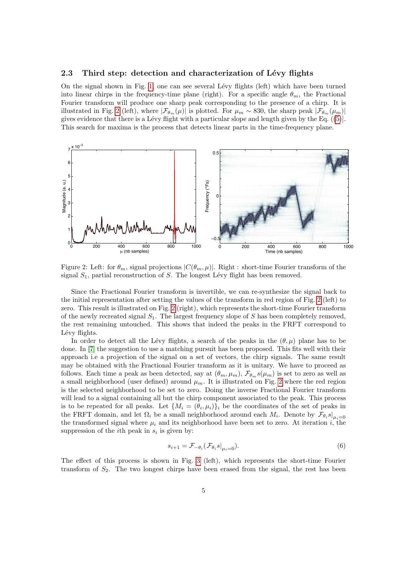#### <span id="page-4-1"></span>2.3 Third step: detection and characterization of Lévy flights

On the signal shown in Fig. [1,](#page-2-0) one can see several Lévy flights (left) which have been turned into linear chirps in the frequency-time plane (right). For a specific angle  $\theta_m$ , the Fractional Fourier transform will produce one sharp peak corresponding to the presence of a chirp. It is illustrated in Fig. [2](#page-4-0) (left), where  $|\mathcal{F}_{\theta_m}(\mu)|$  is plotted. For  $\mu_m \sim 830$ , the sharp peak  $|\mathcal{F}_{\theta_m}(\mu_m)|$ gives evidence that there is a Lévy flight with a particular slope and length given by the Eq.  $(5)$ . This search for maxima is the process that detects linear parts in the time-frequency plane.



<span id="page-4-0"></span>Figure 2: Left: for  $\theta_m$ , signal projections  $|C(\theta_m, \mu)|$ . Right : short-time Fourier transform of the signal  $S_1$ , partial reconstruction of S. The longest Lévy flight has been removed.

Since the Fractional Fourier transform is invertible, we can re-synthesize the signal back to the initial representation after setting the values of the transform in red region of Fig. [2](#page-4-0) (left) to zero. This result is illustrated on Fig. [2](#page-4-0) (right), which represents the short-time Fourier transform of the newly recreated signal  $S_1$ . The largest frequency slope of S has been completely removed, the rest remaining untouched. This shows that indeed the peaks in the FRFT correspond to Lévy flights.

In order to detect all the Lévy flights, a search of the peaks in the  $(\theta, \mu)$  plane has to be done. In [\[7\]](#page-11-0) the suggestion to use a matching pursuit has been proposed. This fits well with their approach i.e a projection of the signal on a set of vectors, the chirp signals. The same result may be obtained with the Fractional Fourier transform as it is unitary. We have to proceed as follows. Each time a peak as been detected, say at  $(\theta_m, \mu_m)$ ,  $\mathcal{F}_{\theta_m} s(\mu_m)$  is set to zero as well as a small neighborhood (user defined) around  $\mu_m$ . It is illustrated on Fig. [2](#page-4-0) where the red region is the selected neighborhood to be set to zero. Doing the inverse Fractional Fourier transform will lead to a signal containing all but the chirp component associated to the peak. This process is to be repeated for all peaks. Let  $\{M_i = (\theta_i, \mu_i)\}_i$  be the coordinates of the set of peaks in the FRFT domain, and let  $\Omega_i$  be a small neighborhood around each  $M_i$ . Denote by  $\mathcal{F}_{\theta_i} s|_{\mu_i=0}$ the transformed signal where  $\mu_i$  and its neighborhood have been set to zero. At iteration i, the suppression of the *i*th peak in  $s_i$  is given by:

$$
s_{i+1} = \mathcal{F}_{-\theta_i}(\mathcal{F}_{\theta_i} s|_{\mu_i=0}).\tag{6}
$$

The effect of this process is shown in Fig. [3](#page-5-1) (left), which represents the short-time Fourier transform of  $S_2$ . The two longest chirps have been erased from the signal, the rest has been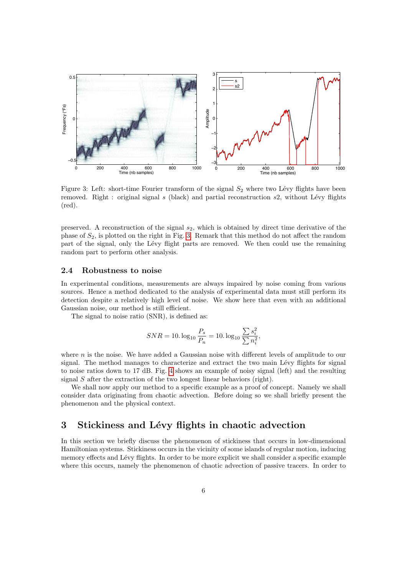

<span id="page-5-1"></span>Figure 3: Left: short-time Fourier transform of the signal  $S_2$  where two Lévy flights have been removed. Right : original signal  $s$  (black) and partial reconstruction  $s$ 2, without Lévy flights (red).

preserved. A reconstruction of the signal  $s_2$ , which is obtained by direct time derivative of the phase of  $S_2$ , is plotted on the right in Fig. [3.](#page-5-1) Remark that this method do not affect the random part of the signal, only the Lévy flight parts are removed. We then could use the remaining random part to perform other analysis.

## 2.4 Robustness to noise

In experimental conditions, measurements are always impaired by noise coming from various sources. Hence a method dedicated to the analysis of experimental data must still perform its detection despite a relatively high level of noise. We show here that even with an additional Gaussian noise, our method is still efficient.

The signal to noise ratio (SNR), is defined as:

$$
SNR = 10. \log_{10} \frac{P_s}{P_n} = 10. \log_{10} \frac{\sum s_i^2}{\sum n_i^2},
$$

where  $n$  is the noise. We have added a Gaussian noise with different levels of amplitude to our signal. The method manages to characterize and extract the two main Lévy flights for signal to noise ratios down to 17 dB. Fig. [4](#page-6-0) shows an example of noisy signal (left) and the resulting signal S after the extraction of the two longest linear behaviors (right).

We shall now apply our method to a specific example as a proof of concept. Namely we shall consider data originating from chaotic advection. Before doing so we shall briefly present the phenomenon and the physical context.

# <span id="page-5-0"></span>3 Stickiness and Lévy flights in chaotic advection

In this section we briefly discuss the phenomenon of stickiness that occurs in low-dimensional Hamiltonian systems. Stickiness occurs in the vicinity of some islands of regular motion, inducing memory effects and Lévy flights. In order to be more explicit we shall consider a specific example where this occurs, namely the phenomenon of chaotic advection of passive tracers. In order to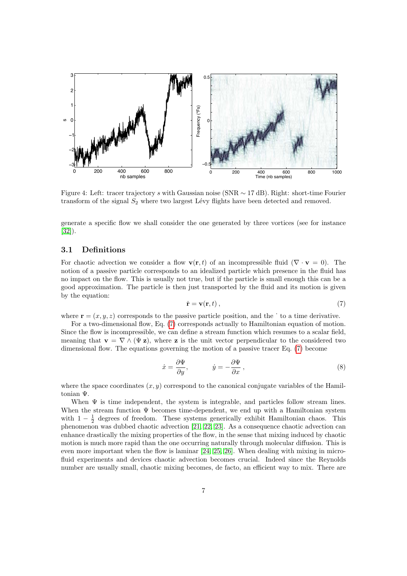

<span id="page-6-0"></span>Figure 4: Left: tracer trajectory s with Gaussian noise (SNR ∼ 17 dB). Right: short-time Fourier transform of the signal  $S_2$  where two largest Lévy flights have been detected and removed.

generate a specific flow we shall consider the one generated by three vortices (see for instance [\[32\]](#page-12-0)).

### 3.1 Definitions

For chaotic advection we consider a flow  $\mathbf{v}(\mathbf{r}, t)$  of an incompressible fluid ( $\nabla \cdot \mathbf{v} = 0$ ). The notion of a passive particle corresponds to an idealized particle which presence in the fluid has no impact on the flow. This is usually not true, but if the particle is small enough this can be a good approximation. The particle is then just transported by the fluid and its motion is given by the equation:

<span id="page-6-1"></span>
$$
\dot{\mathbf{r}} = \mathbf{v}(\mathbf{r}, t) \,,\tag{7}
$$

where  $\mathbf{r} = (x, y, z)$  corresponds to the passive particle position, and the to a time derivative.

For a two-dimensional flow, Eq. [\(7\)](#page-6-1) corresponds actually to Hamiltonian equation of motion. Since the flow is incompressible, we can define a stream function which resumes to a scalar field, meaning that  $\mathbf{v} = \nabla \wedge (\Psi \mathbf{z})$ , where z is the unit vector perpendicular to the considered two dimensional flow. The equations governing the motion of a passive tracer Eq. [\(7\)](#page-6-1) become

$$
\dot{x} = \frac{\partial \Psi}{\partial y}, \qquad \dot{y} = -\frac{\partial \Psi}{\partial x}, \qquad (8)
$$

where the space coordinates  $(x, y)$  correspond to the canonical conjugate variables of the Hamiltonian Ψ.

When  $\Psi$  is time independent, the system is integrable, and particles follow stream lines. When the stream function  $\Psi$  becomes time-dependent, we end up with a Hamiltonian system with  $1 - \frac{1}{2}$  degrees of freedom. These systems generically exhibit Hamiltonian chaos. This phenomenon was dubbed chaotic advection [\[21,](#page-11-1) [22,](#page-11-2) [23\]](#page-11-3). As a consequence chaotic advection can enhance drastically the mixing properties of the flow, in the sense that mixing induced by chaotic motion is much more rapid than the one occurring naturally through molecular diffusion. This is even more important when the flow is laminar [\[24,](#page-11-4) [25,](#page-11-5) [26\]](#page-11-6). When dealing with mixing in microfluid experiments and devices chaotic advection becomes crucial. Indeed since the Reynolds number are usually small, chaotic mixing becomes, de facto, an efficient way to mix. There are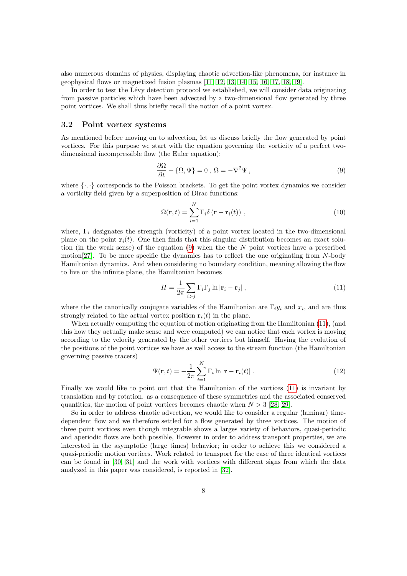also numerous domains of physics, displaying chaotic advection-like phenomena, for instance in geophysical flows or magnetized fusion plasmas [\[11,](#page-11-7) [12,](#page-11-8) [13,](#page-11-9) [14,](#page-11-10) [15,](#page-11-11) [16,](#page-11-12) [17,](#page-11-13) [18,](#page-11-14) [19\]](#page-11-15).

In order to test the Lévy detection protocol we established, we will consider data originating from passive particles which have been advected by a two-dimensional flow generated by three point vortices. We shall thus briefly recall the notion of a point vortex.

### 3.2 Point vortex systems

As mentioned before moving on to advection, let us discuss briefly the flow generated by point vortices. For this purpose we start with the equation governing the vorticity of a perfect twodimensional incompressible flow (the Euler equation):

<span id="page-7-0"></span>
$$
\frac{\partial \Omega}{\partial t} + \{\Omega, \Psi\} = 0 \,, \ \Omega = -\nabla^2 \Psi \,, \tag{9}
$$

where  $\{\cdot,\cdot\}$  corresponds to the Poisson brackets. To get the point vortex dynamics we consider a vorticity field given by a superposition of Dirac functions:

$$
\Omega(\mathbf{r},t) = \sum_{i=1}^{N} \Gamma_i \delta(\mathbf{r} - \mathbf{r}_i(t)), \qquad (10)
$$

where,  $\Gamma_i$  designates the strength (vorticity) of a point vortex located in the two-dimensional plane on the point  $\mathbf{r}_i(t)$ . One then finds that this singular distribution becomes an exact solution (in the weak sense) of the equation  $(9)$  when the the N point vortices have a prescribed motion[\[27\]](#page-11-16). To be more specific the dynamics has to reflect the one originating from N-body Hamiltonian dynamics. And when considering no boundary condition, meaning allowing the flow to live on the infinite plane, the Hamiltonian becomes

<span id="page-7-1"></span>
$$
H = \frac{1}{2\pi} \sum_{i > j} \Gamma_i \Gamma_j \ln |\mathbf{r}_i - \mathbf{r}_j| \,,\tag{11}
$$

where the the canonically conjugate variables of the Hamiltonian are  $\Gamma_i y_i$  and  $x_i$ , and are thus strongly related to the actual vortex position  $\mathbf{r}_i(t)$  in the plane.

When actually computing the equation of motion originating from the Hamiltonian [\(11\)](#page-7-1), (and this how they actually make sense and were computed) we can notice that each vortex is moving according to the velocity generated by the other vortices but himself. Having the evolution of the positions of the point vortices we have as well access to the stream function (the Hamiltonian governing passive tracers)

$$
\Psi(\mathbf{r},t) = -\frac{1}{2\pi} \sum_{i=1}^{N} \Gamma_i \ln |\mathbf{r} - \mathbf{r}_i(t)|.
$$
\n(12)

Finally we would like to point out that the Hamiltonian of the vortices [\(11\)](#page-7-1) is invariant by translation and by rotation. as a consequence of these symmetries and the associated conserved quantities, the motion of point vortices becomes chaotic when  $N > 3$  [\[28,](#page-11-17) [29\]](#page-12-1).

So in order to address chaotic advection, we would like to consider a regular (laminar) timedependent flow and we therefore settled for a flow generated by three vortices. The motion of three point vortices even though integrable shows a larges variety of behaviors, quasi-periodic and aperiodic flows are both possible, However in order to address transport properties, we are interested in the asymptotic (large times) behavior; in order to achieve this we considered a quasi-periodic motion vortices. Work related to transport for the case of three identical vortices can be found in [\[30,](#page-12-2) [31\]](#page-12-3) and the work with vortices with different signs from which the data analyzed in this paper was considered, is reported in [\[32\]](#page-12-0).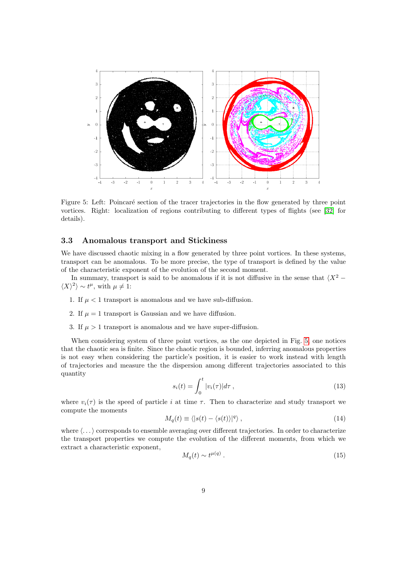

<span id="page-8-0"></span>Figure 5: Left: Poincaré section of the tracer trajectories in the flow generated by three point vortices. Right: localization of regions contributing to different types of flights (see [\[32\]](#page-12-0) for details).

#### 3.3 Anomalous transport and Stickiness

We have discussed chaotic mixing in a flow generated by three point vortices. In these systems, transport can be anomalous. To be more precise, the type of transport is defined by the value of the characteristic exponent of the evolution of the second moment.

In summary, transport is said to be anomalous if it is not diffusive in the sense that  $\langle X^2 - \rangle$  $\langle X \rangle^2 \rangle \sim t^{\mu}$ , with  $\mu \neq 1$ :

- 1. If  $\mu < 1$  transport is anomalous and we have sub-diffusion.
- 2. If  $\mu = 1$  transport is Gaussian and we have diffusion.
- 3. If  $\mu > 1$  transport is anomalous and we have super-diffusion.

When considering system of three point vortices, as the one depicted in Fig. [5,](#page-8-0) one notices that the chaotic sea is finite. Since the chaotic region is bounded, inferring anomalous properties is not easy when considering the particle's position, it is easier to work instead with length of trajectories and measure the the dispersion among different trajectories associated to this quantity

$$
s_i(t) = \int_0^t |v_i(\tau)| d\tau , \qquad (13)
$$

where  $v_i(\tau)$  is the speed of particle i at time  $\tau$ . Then to characterize and study transport we compute the moments

$$
M_q(t) \equiv \langle |s(t) - \langle s(t) \rangle|^q \rangle \,, \tag{14}
$$

where  $\langle \ldots \rangle$  corresponds to ensemble averaging over different trajectories. In order to characterize the transport properties we compute the evolution of the different moments, from which we extract a characteristic exponent,

$$
M_q(t) \sim t^{\mu(q)}\,. \tag{15}
$$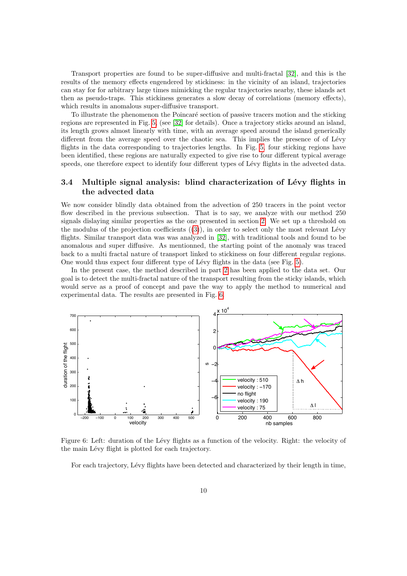Transport properties are found to be super-diffusive and multi-fractal [\[32\]](#page-12-0), and this is the results of the memory effects engendered by stickiness: in the vicinity of an island, trajectories can stay for for arbitrary large times mimicking the regular trajectories nearby, these islands act then as pseudo-traps. This stickiness generates a slow decay of correlations (memory effects), which results in anomalous super-diffusive transport.

To illustrate the phenomenon the Poincaré section of passive tracers motion and the sticking regions are represented in Fig. [5,](#page-8-0) (see [\[32\]](#page-12-0) for details). Once a trajectory sticks around an island, its length grows almost linearly with time, with an average speed around the island generically different from the average speed over the chaotic sea. This implies the presence of of Lévy flights in the data corresponding to trajectories lengths. In Fig. [5,](#page-8-0) four sticking regions have been identified, these regions are naturally expected to give rise to four different typical average speeds, one therefore expect to identify four different types of Lévy flights in the advected data.

## 3.4 Multiple signal analysis: blind characterization of Lévy flights in the advected data

We now consider blindly data obtained from the advection of 250 tracers in the point vector flow described in the previous subsection. That is to say, we analyze with our method 250 signals dislaying similar properties as the one presented in section [2.](#page-1-0) We set up a threshold on the modulus of the projection coefficients  $((3))$  $((3))$  $((3))$ , in order to select only the most relevant Lévy flights. Similar transport data was was analyzed in [\[32\]](#page-12-0), with traditional tools and found to be anomalous and super diffusive. As mentionned, the starting point of the anomaly was traced back to a multi fractal nature of transport linked to stickiness on four different regular regions. One would thus expect four different type of Lévy flights in the data (see Fig. [5\)](#page-8-0).

In the present case, the method described in part [2](#page-1-0) has been applied to the data set. Our goal is to detect the multi-fractal nature of the transport resulting from the sticky islands, which would serve as a proof of concept and pave the way to apply the method to numerical and experimental data. The results are presented in Fig. [6.](#page-9-0)



<span id="page-9-0"></span>Figure 6: Left: duration of the Lévy flights as a function of the velocity. Right: the velocity of the main Lévy flight is plotted for each trajectory.

For each trajectory, Lévy flights have been detected and characterized by their length in time,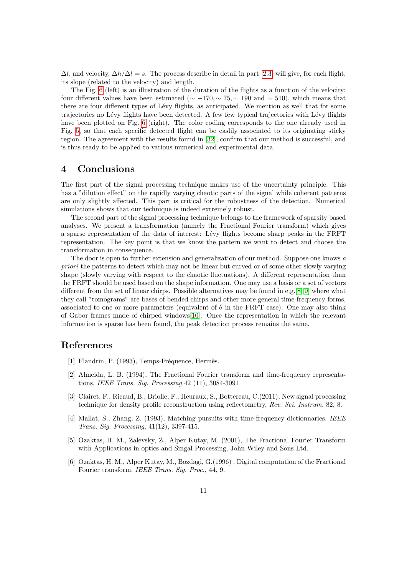$\Delta l$ , and velocity,  $\Delta h/\Delta l = s$ . The process describe in detail in part [2.3,](#page-4-1) will give, for each flight, its slope (related to the velocity) and length.

The Fig. [6](#page-9-0) (left) is an illustration of the duration of the flights as a function of the velocity: four different values have been estimated ( $\sim -170$ ,  $\sim 75$ ,  $\sim 190$  and  $\sim 510$ ), which means that there are four different types of Lévy flights, as anticipated. We mention as well that for some trajectories no Lévy flights have been detected. A few few typical trajectories with Lévy flights have been plotted on Fig. [6](#page-9-0) (right). The color coding corresponds to the one already used in Fig. [5,](#page-8-0) so that each specific detected flight can be easlily associated to its originating sticky region. The agreement with the results found in [\[32\]](#page-12-0), confirm that our method is successful, and is thus ready to be applied to various numerical and experimental data.

# 4 Conclusions

The first part of the signal processing technique makes use of the uncertainty principle. This has a "dilution effect" on the rapidly varying chaotic parts of the signal while coherent patterns are only slightly affected. This part is critical for the robustness of the detection. Numerical simulations shows that our technique is indeed extremely robust.

The second part of the signal processing technique belongs to the framework of sparsity based analyses. We present a transformation (namely the Fractional Fourier transform) which gives a sparse representation of the data of interest: Lévy flights become sharp peaks in the FRFT representation. The key point is that we know the pattern we want to detect and choose the transformation in consequence.

The door is open to further extension and generalization of our method. Suppose one knows a priori the patterns to detect which may not be linear but curved or of some other slowly varying shape (slowly varying with respect to the chaotic fluctuations). A different representation than the FRFT should be used based on the shape information. One may use a basis or a set of vectors different from the set of linear chirps. Possible alternatives may be found in e.g. [\[8,](#page-11-18) [9\]](#page-11-19) where what they call "tomograms" are bases of bended chirps and other more general time-frequency forms, associated to one or more parameters (equivalent of  $\theta$  in the FRFT case). One may also think of Gabor frames made of chirped windows[\[10\]](#page-11-20). Once the representation in which the relevant information is sparse has been found, the peak detection process remains the same.

# References

- <span id="page-10-0"></span>[1] Flandrin, P. (1993), Temps-Fréquence, Hermès.
- [2] Almeida, L. B. (1994), The Fractional Fourier transform and time-frequency representations, IEEE Trans. Sig. Processing 42 (11), 3084-3091
- [3] Clairet, F., Ricaud, B., Briolle, F., Heuraux, S., Bottereau, C.(2011), New signal processing technique for density profile reconstruction using reflectometry, Rev. Sci. Instrum. 82, 8.
- [4] Mallat, S., Zhang, Z. (1993), Matching pursuits with time-frequency dictionnaries. IEEE Trans. Sig. Processing, 41(12), 3397-415.
- <span id="page-10-1"></span>[5] Ozaktas, H. M., Zalevsky, Z., Alper Kutay, M. (2001), The Fractional Fourier Transform with Applications in optics and Singal Processing, John Wiley and Sons Ltd.
- <span id="page-10-2"></span>[6] Ozaktas, H. M., Alper Kutay, M., Bozdagi, G.(1996) , Digital computation of the Fractional Fourier transform, IEEE Trans. Sig. Proc., 44, 9.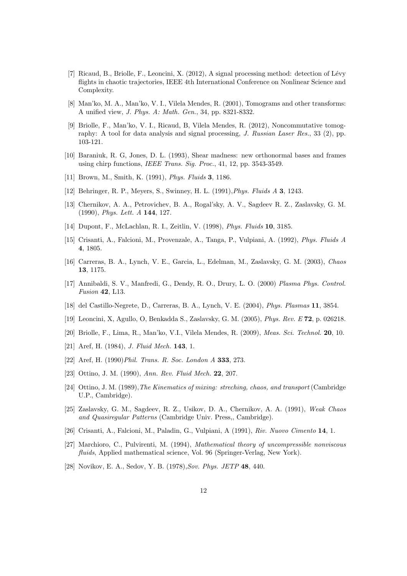- <span id="page-11-0"></span>[7] Ricaud, B., Briolle, F., Leoncini, X. (2012), A signal processing method: detection of Lévy flights in chaotic trajectories, IEEE 4th International Conference on Nonlinear Science and Complexity.
- <span id="page-11-18"></span>[8] Man'ko, M. A., Man'ko, V. I., Vilela Mendes, R. (2001), Tomograms and other transforms: A unified view, J. Phys. A: Math. Gen., 34, pp. 8321-8332.
- <span id="page-11-19"></span>[9] Briolle, F., Man'ko, V. I., Ricaud, B, Vilela Mendes, R. (2012), Noncommutative tomography: A tool for data analysis and signal processing, J. Russian Laser Res., 33 (2), pp. 103-121.
- <span id="page-11-20"></span>[10] Baraniuk, R. G, Jones, D. L. (1993), Shear madness: new orthonormal bases and frames using chirp functions, IEEE Trans. Sig. Proc., 41, 12, pp. 3543-3549.
- <span id="page-11-7"></span>[11] Brown, M., Smith, K. (1991), Phys. Fluids 3, 1186.
- <span id="page-11-8"></span>[12] Behringer, R. P., Meyers, S., Swinney, H. L. (1991),Phys. Fluids A 3, 1243.
- <span id="page-11-9"></span>[13] Chernikov, A. A., Petrovichev, B. A., Rogal'sky, A. V., Sagdeev R. Z., Zaslavsky, G. M. (1990), Phys. Lett. A 144, 127.
- <span id="page-11-10"></span>[14] Dupont, F., McLachlan, R. I., Zeitlin, V. (1998), Phys. Fluids 10, 3185.
- <span id="page-11-11"></span>[15] Crisanti, A., Falcioni, M., Provenzale, A., Tanga, P., Vulpiani, A. (1992), Phys. Fluids A 4, 1805.
- <span id="page-11-12"></span>[16] Carreras, B. A., Lynch, V. E., Garcia, L., Edelman, M., Zaslavsky, G. M. (2003), Chaos 13, 1175.
- <span id="page-11-13"></span>[17] Annibaldi, S. V., Manfredi, G., Dendy, R. O., Drury, L. O. (2000) Plasma Phys. Control. Fusion 42, L13.
- <span id="page-11-14"></span>[18] del Castillo-Negrete, D., Carreras, B. A., Lynch, V. E. (2004), Phys. Plasmas 11, 3854.
- <span id="page-11-15"></span>[19] Leoncini, X, Agullo, O, Benkadda S., Zaslavsky, G. M. (2005), Phys. Rev. E 72, p. 026218.
- [20] Briolle, F., Lima, R., Man'ko, V.I., Vilela Mendes, R. (2009), Meas. Sci. Technol. 20, 10.
- <span id="page-11-1"></span>[21] Aref, H. (1984), *J. Fluid Mech.* **143**, 1.
- <span id="page-11-2"></span>[22] Aref, H. (1990) Phil. Trans. R. Soc. London A 333, 273.
- <span id="page-11-3"></span>[23] Ottino, J. M. (1990), Ann. Rev. Fluid Mech. 22, 207.
- <span id="page-11-4"></span>[24] Ottino, J. M. (1989), The Kinematics of mixing: streching, chaos, and transport (Cambridge U.P., Cambridge).
- <span id="page-11-5"></span>[25] Zaslavsky, G. M., Sagdeev, R. Z., Usikov, D. A., Chernikov, A. A. (1991), Weak Chaos and Quasiregular Patterns (Cambridge Univ. Press,, Cambridge).
- <span id="page-11-6"></span>[26] Crisanti, A., Falcioni, M., Paladin, G., Vulpiani, A (1991), Riv. Nuovo Cimento 14, 1.
- <span id="page-11-16"></span>[27] Marchioro, C., Pulvirenti, M. (1994), Mathematical theory of uncompressible nonviscous fluids, Applied mathematical science, Vol. 96 (Springer-Verlag, New York).
- <span id="page-11-17"></span>[28] Novikov, E. A., Sedov, Y. B. (1978), Sov. Phys. JETP 48, 440.